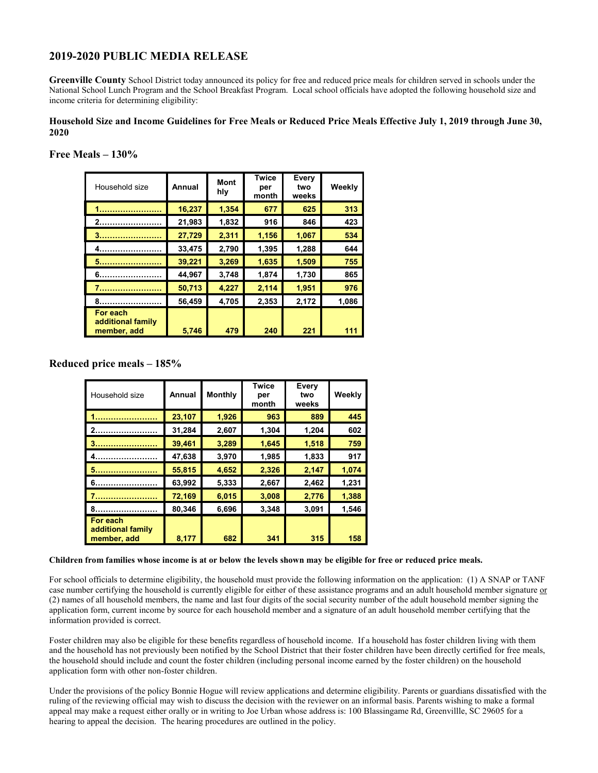# **2019-2020 PUBLIC MEDIA RELEASE**

**Greenville County** School District today announced its policy for free and reduced price meals for children served in schools under the National School Lunch Program and the School Breakfast Program. Local school officials have adopted the following household size and income criteria for determining eligibility:

### **Household Size and Income Guidelines for Free Meals or Reduced Price Meals Effective July 1, 2019 through June 30, 2020**

### **Free Meals – 130%**

| Household size                               | Annual | <b>Mont</b><br>hly | <b>Twice</b><br>per<br>month | Every<br>two<br>weeks | Weekly |
|----------------------------------------------|--------|--------------------|------------------------------|-----------------------|--------|
|                                              | 16,237 | 1.354              | 677                          | 625                   | 313    |
|                                              | 21,983 | 1,832              | 916                          | 846                   | 423    |
|                                              | 27,729 | 2,311              | 1,156                        | 1,067                 | 534    |
|                                              | 33,475 | 2,790              | 1,395                        | 1,288                 | 644    |
| 5.                                           | 39,221 | 3,269              | 1,635                        | 1,509                 | 755    |
|                                              | 44,967 | 3,748              | 1,874                        | 1,730                 | 865    |
|                                              | 50,713 | 4,227              | 2,114                        | 1,951                 | 976    |
|                                              | 56,459 | 4,705              | 2,353                        | 2,172                 | 1.086  |
| For each<br>additional family<br>member, add | 5,746  | 479                | 240                          | 221                   | 111    |

## **Reduced price meals – 185%**

| Household size                               | Annual | <b>Monthly</b> | Twice<br>per<br>month | Every<br>two<br>weeks | Weekly |
|----------------------------------------------|--------|----------------|-----------------------|-----------------------|--------|
|                                              | 23,107 | 1,926          | 963                   | 889                   | 445    |
|                                              | 31,284 | 2,607          | 1,304                 | 1,204                 | 602    |
|                                              | 39,461 | 3,289          | 1,645                 | 1,518                 | 759    |
|                                              | 47,638 | 3,970          | 1,985                 | 1,833                 | 917    |
|                                              | 55,815 | 4,652          | 2,326                 | 2,147                 | 1,074  |
|                                              | 63,992 | 5,333          | 2,667                 | 2,462                 | 1,231  |
|                                              | 72,169 | 6,015          | 3,008                 | 2,776                 | 1,388  |
|                                              | 80,346 | 6,696          | 3,348                 | 3,091                 | 1,546  |
| For each<br>additional family<br>member, add | 8,177  | 682            | 341                   | 315                   | 158    |

### **Children from families whose income is at or below the levels shown may be eligible for free or reduced price meals.**

For school officials to determine eligibility, the household must provide the following information on the application: (1) A SNAP or TANF case number certifying the household is currently eligible for either of these assistance programs and an adult household member signature or (2) names of all household members, the name and last four digits of the social security number of the adult household member signing the application form, current income by source for each household member and a signature of an adult household member certifying that the information provided is correct.

Foster children may also be eligible for these benefits regardless of household income. If a household has foster children living with them and the household has not previously been notified by the School District that their foster children have been directly certified for free meals, the household should include and count the foster children (including personal income earned by the foster children) on the household application form with other non-foster children.

Under the provisions of the policy Bonnie Hogue will review applications and determine eligibility. Parents or guardians dissatisfied with the ruling of the reviewing official may wish to discuss the decision with the reviewer on an informal basis. Parents wishing to make a formal appeal may make a request either orally or in writing to Joe Urban whose address is: 100 Blassingame Rd, Greenvillle, SC 29605 for a hearing to appeal the decision. The hearing procedures are outlined in the policy.